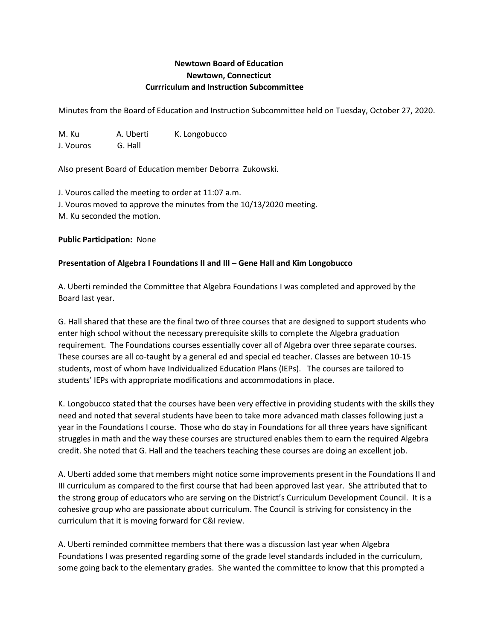# **Newtown Board of Education Newtown, Connecticut Currriculum and Instruction Subcommittee**

Minutes from the Board of Education and Instruction Subcommittee held on Tuesday, October 27, 2020.

M. Ku A. Uberti K. Longobucco J. Vouros G. Hall

Also present Board of Education member Deborra Zukowski.

J. Vouros called the meeting to order at 11:07 a.m. J. Vouros moved to approve the minutes from the 10/13/2020 meeting. M. Ku seconded the motion.

**Public Participation:** None

## **Presentation of Algebra I Foundations II and III – Gene Hall and Kim Longobucco**

A. Uberti reminded the Committee that Algebra Foundations I was completed and approved by the Board last year.

G. Hall shared that these are the final two of three courses that are designed to support students who enter high school without the necessary prerequisite skills to complete the Algebra graduation requirement. The Foundations courses essentially cover all of Algebra over three separate courses. These courses are all co-taught by a general ed and special ed teacher. Classes are between 10-15 students, most of whom have Individualized Education Plans (IEPs). The courses are tailored to students' IEPs with appropriate modifications and accommodations in place.

K. Longobucco stated that the courses have been very effective in providing students with the skills they need and noted that several students have been to take more advanced math classes following just a year in the Foundations I course. Those who do stay in Foundations for all three years have significant struggles in math and the way these courses are structured enables them to earn the required Algebra credit. She noted that G. Hall and the teachers teaching these courses are doing an excellent job.

A. Uberti added some that members might notice some improvements present in the Foundations II and III curriculum as compared to the first course that had been approved last year. She attributed that to the strong group of educators who are serving on the District's Curriculum Development Council. It is a cohesive group who are passionate about curriculum. The Council is striving for consistency in the curriculum that it is moving forward for C&I review.

A. Uberti reminded committee members that there was a discussion last year when Algebra Foundations I was presented regarding some of the grade level standards included in the curriculum, some going back to the elementary grades. She wanted the committee to know that this prompted a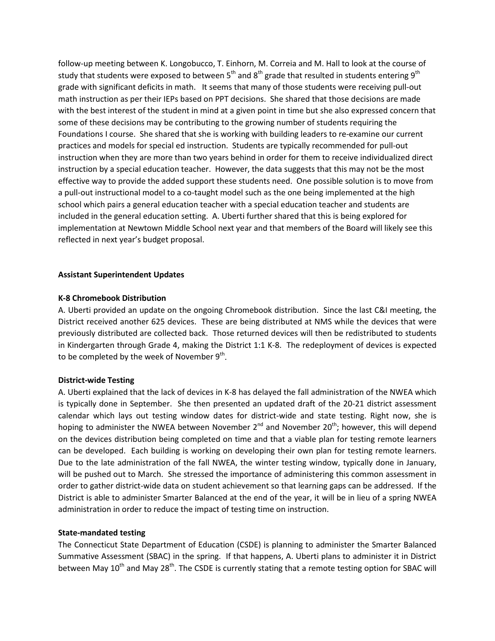follow-up meeting between K. Longobucco, T. Einhorn, M. Correia and M. Hall to look at the course of study that students were exposed to between  $5<sup>th</sup>$  and  $8<sup>th</sup>$  grade that resulted in students entering  $9<sup>th</sup>$ grade with significant deficits in math. It seems that many of those students were receiving pull-out math instruction as per their IEPs based on PPT decisions. She shared that those decisions are made with the best interest of the student in mind at a given point in time but she also expressed concern that some of these decisions may be contributing to the growing number of students requiring the Foundations I course. She shared that she is working with building leaders to re-examine our current practices and models for special ed instruction. Students are typically recommended for pull-out instruction when they are more than two years behind in order for them to receive individualized direct instruction by a special education teacher. However, the data suggests that this may not be the most effective way to provide the added support these students need. One possible solution is to move from a pull-out instructional model to a co-taught model such as the one being implemented at the high school which pairs a general education teacher with a special education teacher and students are included in the general education setting. A. Uberti further shared that this is being explored for implementation at Newtown Middle School next year and that members of the Board will likely see this reflected in next year's budget proposal.

### **Assistant Superintendent Updates**

### **K-8 Chromebook Distribution**

A. Uberti provided an update on the ongoing Chromebook distribution. Since the last C&I meeting, the District received another 625 devices. These are being distributed at NMS while the devices that were previously distributed are collected back. Those returned devices will then be redistributed to students in Kindergarten through Grade 4, making the District 1:1 K-8. The redeployment of devices is expected to be completed by the week of November  $9<sup>th</sup>$ .

#### **District-wide Testing**

A. Uberti explained that the lack of devices in K-8 has delayed the fall administration of the NWEA which is typically done in September. She then presented an updated draft of the 20-21 district assessment calendar which lays out testing window dates for district-wide and state testing. Right now, she is hoping to administer the NWEA between November  $2^{nd}$  and November  $20^{th}$ ; however, this will depend on the devices distribution being completed on time and that a viable plan for testing remote learners can be developed. Each building is working on developing their own plan for testing remote learners. Due to the late administration of the fall NWEA, the winter testing window, typically done in January, will be pushed out to March. She stressed the importance of administering this common assessment in order to gather district-wide data on student achievement so that learning gaps can be addressed. If the District is able to administer Smarter Balanced at the end of the year, it will be in lieu of a spring NWEA administration in order to reduce the impact of testing time on instruction.

#### **State-mandated testing**

The Connecticut State Department of Education (CSDE) is planning to administer the Smarter Balanced Summative Assessment (SBAC) in the spring. If that happens, A. Uberti plans to administer it in District between May  $10^{th}$  and May  $28^{th}$ . The CSDE is currently stating that a remote testing option for SBAC will